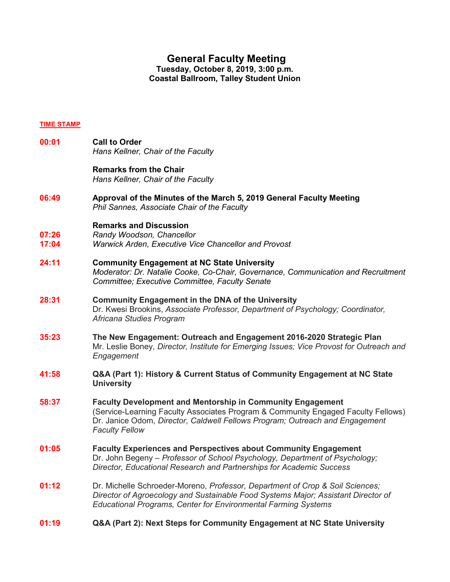# **General Faculty Meeting**

**Tuesday, October 8, 2019, 3:00 p.m. Coastal Ballroom, Talley Student Union**

#### **TIME STAMP**

**00:01 Call to Order**  *Hans Kellner, Chair of the Faculty* **Remarks from the Chair**  *Hans Kellner, Chair of the Faculty*  **06:49 Approval of the Minutes of the March 5, 2019 General Faculty Meeting**  *Phil Sannes, Associate Chair of the Faculty*  **Remarks and Discussion 07:26** *Randy Woodson, Chancellor*  **17:04** *Warwick Arden, Executive Vice Chancellor and Provost*  **24:11 Community Engagement at NC State University**  *Moderator: Dr. Natalie Cooke, Co-Chair, Governance, Communication and Recruitment Committee; Executive Committee, Faculty Senate* **28:31 Community Engagement in the DNA of the University**  Dr. Kwesi Brookins, *Associate Professor, Department of Psychology; Coordinator, Africana Studies Program* **35:23 The New Engagement: Outreach and Engagement 2016-2020 Strategic Plan** Mr. Leslie Boney, *Director, Institute for Emerging Issues; Vice Provost for Outreach and Engagement* **41:58 Q&A (Part 1): History & Current Status of Community Engagement at NC State University 58:37 Faculty Development and Mentorship in Community Engagement**  (Service-Learning Faculty Associates Program & Community Engaged Faculty Fellows) Dr. Janice Odom, *Director, Caldwell Fellows Program; Outreach and Engagement Faculty Fellow* **01:05 Faculty Experiences and Perspectives about Community Engagement**  Dr. John Begeny – *Professor of School Psychology, Department of Psychology; Director, Educational Research and Partnerships for Academic Success* **01:12** Dr. Michelle Schroeder-Moreno, *Professor, Department of Crop & Soil Sciences; Director of Agroecology and Sustainable Food Systems Major; Assistant Director of Educational Programs, Center for Environmental Farming Systems* **01:19 Q&A (Part 2): Next Steps for Community Engagement at NC State University**